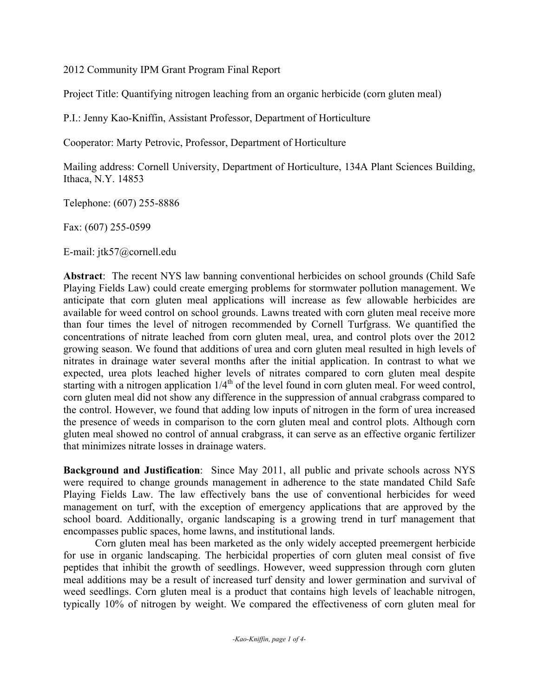2012 Community IPM Grant Program Final Report

Project Title: Quantifying nitrogen leaching from an organic herbicide (corn gluten meal)

P.I.: Jenny Kao-Kniffin, Assistant Professor, Department of Horticulture

Cooperator: Marty Petrovic, Professor, Department of Horticulture

Mailing address: Cornell University, Department of Horticulture, 134A Plant Sciences Building, Ithaca, N.Y. 14853

Telephone: (607) 255-8886

Fax: (607) 255-0599

E-mail: jtk57@cornell.edu

Abstract: The recent NYS law banning conventional herbicides on school grounds (Child Safe Playing Fields Law) could create emerging problems for stormwater pollution management. We anticipate that corn gluten meal applications will increase as few allowable herbicides are available for weed control on school grounds. Lawns treated with corn gluten meal receive more than four times the level of nitrogen recommended by Cornell Turfgrass. We quantified the concentrations of nitrate leached from corn gluten meal, urea, and control plots over the 2012 growing season. We found that additions of urea and corn gluten meal resulted in high levels of nitrates in drainage water several months after the initial application. In contrast to what we expected, urea plots leached higher levels of nitrates compared to corn gluten meal despite starting with a nitrogen application  $1/4<sup>th</sup>$  of the level found in corn gluten meal. For weed control, corn gluten meal did not show any difference in the suppression of annual crabgrass compared to the control. However, we found that adding low inputs of nitrogen in the form of urea increased the presence of weeds in comparison to the corn gluten meal and control plots. Although corn gluten meal showed no control of annual crabgrass, it can serve as an effective organic fertilizer that minimizes nitrate losses in drainage waters.

Background and Justification: Since May 2011, all public and private schools across NYS were required to change grounds management in adherence to the state mandated Child Safe Playing Fields Law. The law effectively bans the use of conventional herbicides for weed management on turf, with the exception of emergency applications that are approved by the school board. Additionally, organic landscaping is a growing trend in turf management that encompasses public spaces, home lawns, and institutional lands.

Corn gluten meal has been marketed as the only widely accepted preemergent herbicide for use in organic landscaping. The herbicidal properties of corn gluten meal consist of five peptides that inhibit the growth of seedlings. However, weed suppression through corn gluten meal additions may be a result of increased turf density and lower germination and survival of weed seedlings. Corn gluten meal is a product that contains high levels of leachable nitrogen, typically 10% of nitrogen by weight. We compared the effectiveness of corn gluten meal for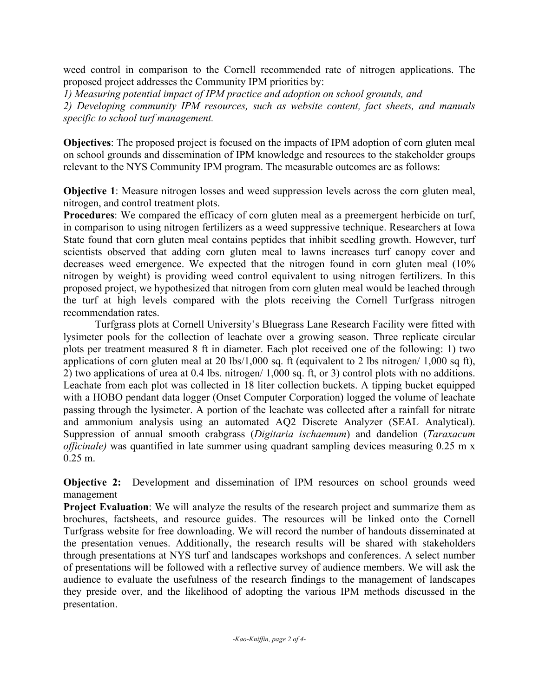weed control in comparison to the Cornell recommended rate of nitrogen applications. The proposed project addresses the Community IPM priorities by:

*1) Measuring potential impact of IPM practice and adoption on school grounds, and* 

*2) Developing community IPM resources, such as website content, fact sheets, and manuals specific to school turf management.*

Objectives: The proposed project is focused on the impacts of IPM adoption of corn gluten meal on school grounds and dissemination of IPM knowledge and resources to the stakeholder groups relevant to the NYS Community IPM program. The measurable outcomes are as follows:

Objective 1: Measure nitrogen losses and weed suppression levels across the corn gluten meal, nitrogen, and control treatment plots.

Procedures: We compared the efficacy of corn gluten meal as a preemergent herbicide on turf, in comparison to using nitrogen fertilizers as a weed suppressive technique. Researchers at Iowa State found that corn gluten meal contains peptides that inhibit seedling growth. However, turf scientists observed that adding corn gluten meal to lawns increases turf canopy cover and decreases weed emergence. We expected that the nitrogen found in corn gluten meal (10% nitrogen by weight) is providing weed control equivalent to using nitrogen fertilizers. In this proposed project, we hypothesized that nitrogen from corn gluten meal would be leached through the turf at high levels compared with the plots receiving the Cornell Turfgrass nitrogen recommendation rates.

Turfgrass plots at Cornell University's Bluegrass Lane Research Facility were fitted with lysimeter pools for the collection of leachate over a growing season. Three replicate circular plots per treatment measured 8 ft in diameter. Each plot received one of the following: 1) two applications of corn gluten meal at 20 lbs/1,000 sq. ft (equivalent to 2 lbs nitrogen/ 1,000 sq ft), 2) two applications of urea at 0.4 lbs. nitrogen/ 1,000 sq. ft, or 3) control plots with no additions. Leachate from each plot was collected in 18 liter collection buckets. A tipping bucket equipped with a HOBO pendant data logger (Onset Computer Corporation) logged the volume of leachate passing through the lysimeter. A portion of the leachate was collected after a rainfall for nitrate and ammonium analysis using an automated AQ2 Discrete Analyzer (SEAL Analytical). Suppression of annual smooth crabgrass (*Digitaria ischaemum*) and dandelion (*Taraxacum officinale)* was quantified in late summer using quadrant sampling devices measuring 0.25 m x 0.25 m.

Objective 2: Development and dissemination of IPM resources on school grounds weed management

**Project Evaluation:** We will analyze the results of the research project and summarize them as brochures, factsheets, and resource guides. The resources will be linked onto the Cornell Turfgrass website for free downloading. We will record the number of handouts disseminated at the presentation venues. Additionally, the research results will be shared with stakeholders through presentations at NYS turf and landscapes workshops and conferences. A select number of presentations will be followed with a reflective survey of audience members. We will ask the audience to evaluate the usefulness of the research findings to the management of landscapes they preside over, and the likelihood of adopting the various IPM methods discussed in the presentation.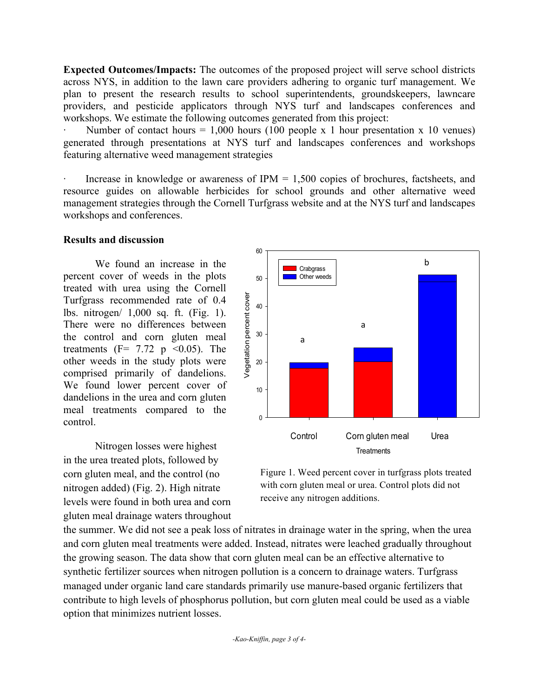Expected Outcomes/Impacts: The outcomes of the proposed project will serve school districts across NYS, in addition to the lawn care providers adhering to organic turf management. We plan to present the research results to school superintendents, groundskeepers, lawncare providers, and pesticide applicators through NYS turf and landscapes conferences and workshops. We estimate the following outcomes generated from this project:

Number of contact hours  $= 1,000$  hours (100 people x 1 hour presentation x 10 venues) generated through presentations at NYS turf and landscapes conferences and workshops featuring alternative weed management strategies

Increase in knowledge or awareness of  $IPM = 1,500$  copies of brochures, factsheets, and resource guides on allowable herbicides for school grounds and other alternative weed management strategies through the Cornell Turfgrass website and at the NYS turf and landscapes workshops and conferences.

## Results and discussion

We found an increase in the percent cover of weeds in the plots treated with urea using the Cornell Turfgrass recommended rate of 0.4 lbs. nitrogen/ 1,000 sq. ft. (Fig. 1). There were no differences between the control and corn gluten meal treatments ( $F = 7.72$  p < 0.05). The other weeds in the study plots were comprised primarily of dandelions. We found lower percent cover of dandelions in the urea and corn gluten meal treatments compared to the control.

Nitrogen losses were highest in the urea treated plots, followed by corn gluten meal, and the control (no nitrogen added) (Fig. 2). High nitrate levels were found in both urea and corn gluten meal drainage waters throughout



Figure 1. Weed percent cover in turfgrass plots treated with corn gluten meal or urea. Control plots did not receive any nitrogen additions.

the summer. We did not see a peak loss of nitrates in drainage water in the spring, when the urea and corn gluten meal treatments were added. Instead, nitrates were leached gradually throughout the growing season. The data show that corn gluten meal can be an effective alternative to synthetic fertilizer sources when nitrogen pollution is a concern to drainage waters. Turfgrass managed under organic land care standards primarily use manure-based organic fertilizers that contribute to high levels of phosphorus pollution, but corn gluten meal could be used as a viable option that minimizes nutrient losses.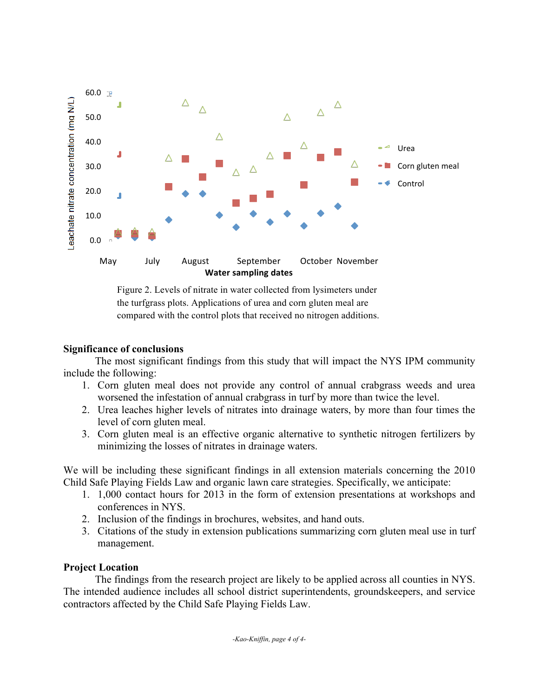

Figure 2. Levels of nitrate in water collected from lysimeters under the turfgrass plots. Applications of urea and corn gluten meal are compared with the control plots that received no nitrogen additions.

## Significance of conclusions

The most significant findings from this study that will impact the NYS IPM community include the following:

- 1. Corn gluten meal does not provide any control of annual crabgrass weeds and urea worsened the infestation of annual crabgrass in turf by more than twice the level.
- 2. Urea leaches higher levels of nitrates into drainage waters, by more than four times the level of corn gluten meal.
- 3. Corn gluten meal is an effective organic alternative to synthetic nitrogen fertilizers by minimizing the losses of nitrates in drainage waters.

We will be including these significant findings in all extension materials concerning the 2010 Child Safe Playing Fields Law and organic lawn care strategies. Specifically, we anticipate:

- 1. 1,000 contact hours for 2013 in the form of extension presentations at workshops and conferences in NYS.
- 2. Inclusion of the findings in brochures, websites, and hand outs.
- 3. Citations of the study in extension publications summarizing corn gluten meal use in turf management.

## Project Location

The findings from the research project are likely to be applied across all counties in NYS. The intended audience includes all school district superintendents, groundskeepers, and service contractors affected by the Child Safe Playing Fields Law.